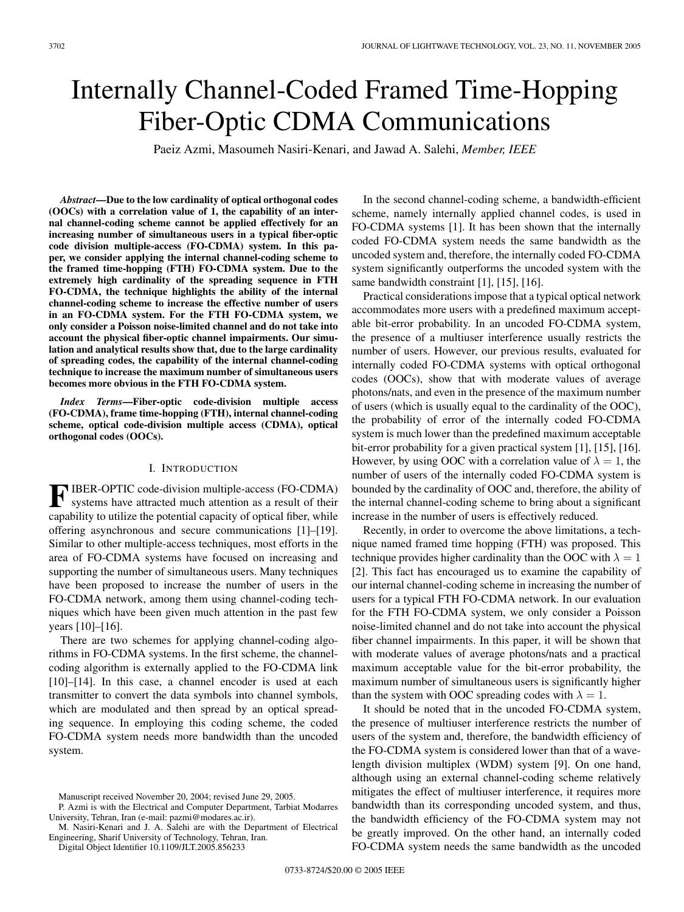# Internally Channel-Coded Framed Time-Hopping Fiber-Optic CDMA Communications

Paeiz Azmi, Masoumeh Nasiri-Kenari, and Jawad A. Salehi, *Member, IEEE*

*Abstract***—Due to the low cardinality of optical orthogonal codes (OOCs) with a correlation value of 1, the capability of an internal channel-coding scheme cannot be applied effectively for an increasing number of simultaneous users in a typical fiber-optic code division multiple-access (FO-CDMA) system. In this paper, we consider applying the internal channel-coding scheme to the framed time-hopping (FTH) FO-CDMA system. Due to the extremely high cardinality of the spreading sequence in FTH FO-CDMA, the technique highlights the ability of the internal channel-coding scheme to increase the effective number of users in an FO-CDMA system. For the FTH FO-CDMA system, we only consider a Poisson noise-limited channel and do not take into account the physical fiber-optic channel impairments. Our simulation and analytical results show that, due to the large cardinality of spreading codes, the capability of the internal channel-coding technique to increase the maximum number of simultaneous users becomes more obvious in the FTH FO-CDMA system.**

*Index Terms***—Fiber-optic code-division multiple access (FO-CDMA), frame time-hopping (FTH), internal channel-coding scheme, optical code-division multiple access (CDMA), optical orthogonal codes (OOCs).**

# I. INTRODUCTION

**F** IBER-OPTIC code-division multiple-access (FO-CDMA) systems have attracted much attention as a result of their systems have attracted much attention as a result of their capability to utilize the potential capacity of optical fiber, while offering asynchronous and secure communications [1]–[19]. Similar to other multiple-access techniques, most efforts in the area of FO-CDMA systems have focused on increasing and supporting the number of simultaneous users. Many techniques have been proposed to increase the number of users in the FO-CDMA network, among them using channel-coding techniques which have been given much attention in the past few years [10]–[16].

There are two schemes for applying channel-coding algorithms in FO-CDMA systems. In the first scheme, the channelcoding algorithm is externally applied to the FO-CDMA link [10]–[14]. In this case, a channel encoder is used at each transmitter to convert the data symbols into channel symbols, which are modulated and then spread by an optical spreading sequence. In employing this coding scheme, the coded FO-CDMA system needs more bandwidth than the uncoded system.

Digital Object Identifier 10.1109/JLT.2005.856233

In the second channel-coding scheme, a bandwidth-efficient scheme, namely internally applied channel codes, is used in FO-CDMA systems [1]. It has been shown that the internally coded FO-CDMA system needs the same bandwidth as the uncoded system and, therefore, the internally coded FO-CDMA system significantly outperforms the uncoded system with the same bandwidth constraint [1], [15], [16].

Practical considerations impose that a typical optical network accommodates more users with a predefined maximum acceptable bit-error probability. In an uncoded FO-CDMA system, the presence of a multiuser interference usually restricts the number of users. However, our previous results, evaluated for internally coded FO-CDMA systems with optical orthogonal codes (OOCs), show that with moderate values of average photons/nats, and even in the presence of the maximum number of users (which is usually equal to the cardinality of the OOC), the probability of error of the internally coded FO-CDMA system is much lower than the predefined maximum acceptable bit-error probability for a given practical system [1], [15], [16]. However, by using OOC with a correlation value of  $\lambda = 1$ , the number of users of the internally coded FO-CDMA system is bounded by the cardinality of OOC and, therefore, the ability of the internal channel-coding scheme to bring about a significant increase in the number of users is effectively reduced.

Recently, in order to overcome the above limitations, a technique named framed time hopping (FTH) was proposed. This technique provides higher cardinality than the OOC with  $\lambda = 1$ [2]. This fact has encouraged us to examine the capability of our internal channel-coding scheme in increasing the number of users for a typical FTH FO-CDMA network. In our evaluation for the FTH FO-CDMA system, we only consider a Poisson noise-limited channel and do not take into account the physical fiber channel impairments. In this paper, it will be shown that with moderate values of average photons/nats and a practical maximum acceptable value for the bit-error probability, the maximum number of simultaneous users is significantly higher than the system with OOC spreading codes with  $\lambda = 1$ .

It should be noted that in the uncoded FO-CDMA system, the presence of multiuser interference restricts the number of users of the system and, therefore, the bandwidth efficiency of the FO-CDMA system is considered lower than that of a wavelength division multiplex (WDM) system [9]. On one hand, although using an external channel-coding scheme relatively mitigates the effect of multiuser interference, it requires more bandwidth than its corresponding uncoded system, and thus, the bandwidth efficiency of the FO-CDMA system may not be greatly improved. On the other hand, an internally coded FO-CDMA system needs the same bandwidth as the uncoded

Manuscript received November 20, 2004; revised June 29, 2005.

P. Azmi is with the Electrical and Computer Department, Tarbiat Modarres University, Tehran, Iran (e-mail: pazmi@modares.ac.ir).

M. Nasiri-Kenari and J. A. Salehi are with the Department of Electrical Engineering, Sharif University of Technology, Tehran, Iran.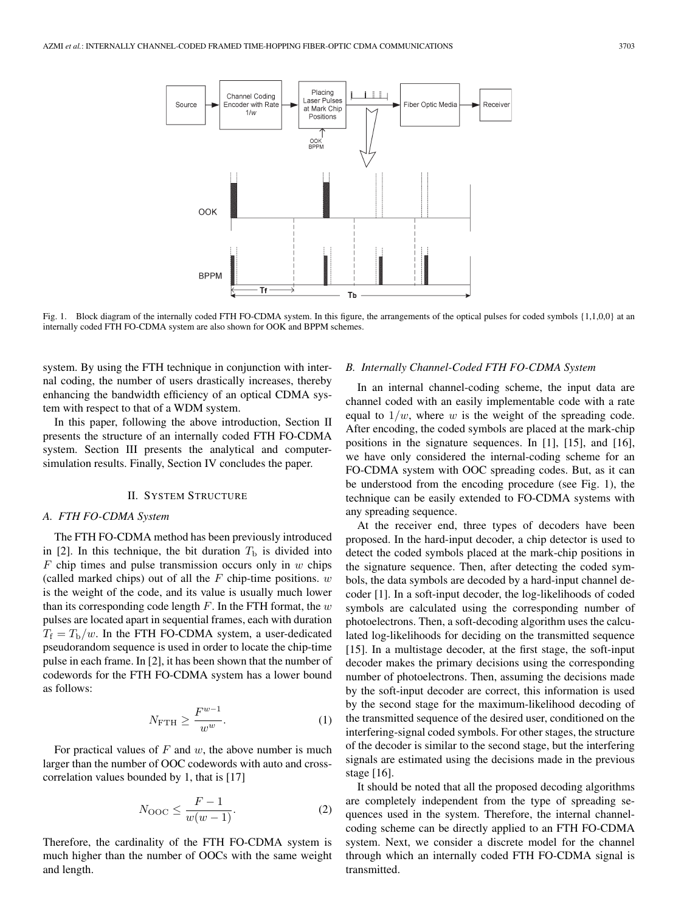

Fig. 1. Block diagram of the internally coded FTH FO-CDMA system. In this figure, the arrangements of the optical pulses for coded symbols {1,1,0,0} at an internally coded FTH FO-CDMA system are also shown for OOK and BPPM schemes.

system. By using the FTH technique in conjunction with internal coding, the number of users drastically increases, thereby enhancing the bandwidth efficiency of an optical CDMA system with respect to that of a WDM system.

In this paper, following the above introduction, Section II presents the structure of an internally coded FTH FO-CDMA system. Section III presents the analytical and computersimulation results. Finally, Section IV concludes the paper.

# II. SYSTEM STRUCTURE

#### *A. FTH FO-CDMA System*

The FTH FO-CDMA method has been previously introduced in [2]. In this technique, the bit duration  $T<sub>b</sub>$  is divided into  $F$  chip times and pulse transmission occurs only in  $w$  chips (called marked chips) out of all the  $F$  chip-time positions.  $w$ is the weight of the code, and its value is usually much lower than its corresponding code length  $F$ . In the FTH format, the  $w$ pulses are located apart in sequential frames, each with duration  $T_f = T_b/w$ . In the FTH FO-CDMA system, a user-dedicated pseudorandom sequence is used in order to locate the chip-time pulse in each frame. In [2], it has been shown that the number of codewords for the FTH FO-CDMA system has a lower bound as follows:

$$
N_{\text{FTH}} \ge \frac{F^{w-1}}{w^w}.\tag{1}
$$

For practical values of  $F$  and  $w$ , the above number is much larger than the number of OOC codewords with auto and crosscorrelation values bounded by 1, that is [17]

$$
N_{\text{OOC}} \le \frac{F - 1}{w(w - 1)}.\tag{2}
$$

Therefore, the cardinality of the FTH FO-CDMA system is much higher than the number of OOCs with the same weight and length.

#### *B. Internally Channel-Coded FTH FO-CDMA System*

In an internal channel-coding scheme, the input data are channel coded with an easily implementable code with a rate equal to  $1/w$ , where w is the weight of the spreading code. After encoding, the coded symbols are placed at the mark-chip positions in the signature sequences. In [1], [15], and [16], we have only considered the internal-coding scheme for an FO-CDMA system with OOC spreading codes. But, as it can be understood from the encoding procedure (see Fig. 1), the technique can be easily extended to FO-CDMA systems with any spreading sequence.

At the receiver end, three types of decoders have been proposed. In the hard-input decoder, a chip detector is used to detect the coded symbols placed at the mark-chip positions in the signature sequence. Then, after detecting the coded symbols, the data symbols are decoded by a hard-input channel decoder [1]. In a soft-input decoder, the log-likelihoods of coded symbols are calculated using the corresponding number of photoelectrons. Then, a soft-decoding algorithm uses the calculated log-likelihoods for deciding on the transmitted sequence [15]. In a multistage decoder, at the first stage, the soft-input decoder makes the primary decisions using the corresponding number of photoelectrons. Then, assuming the decisions made by the soft-input decoder are correct, this information is used by the second stage for the maximum-likelihood decoding of the transmitted sequence of the desired user, conditioned on the interfering-signal coded symbols. For other stages, the structure of the decoder is similar to the second stage, but the interfering signals are estimated using the decisions made in the previous stage [16].

It should be noted that all the proposed decoding algorithms are completely independent from the type of spreading sequences used in the system. Therefore, the internal channelcoding scheme can be directly applied to an FTH FO-CDMA system. Next, we consider a discrete model for the channel through which an internally coded FTH FO-CDMA signal is transmitted.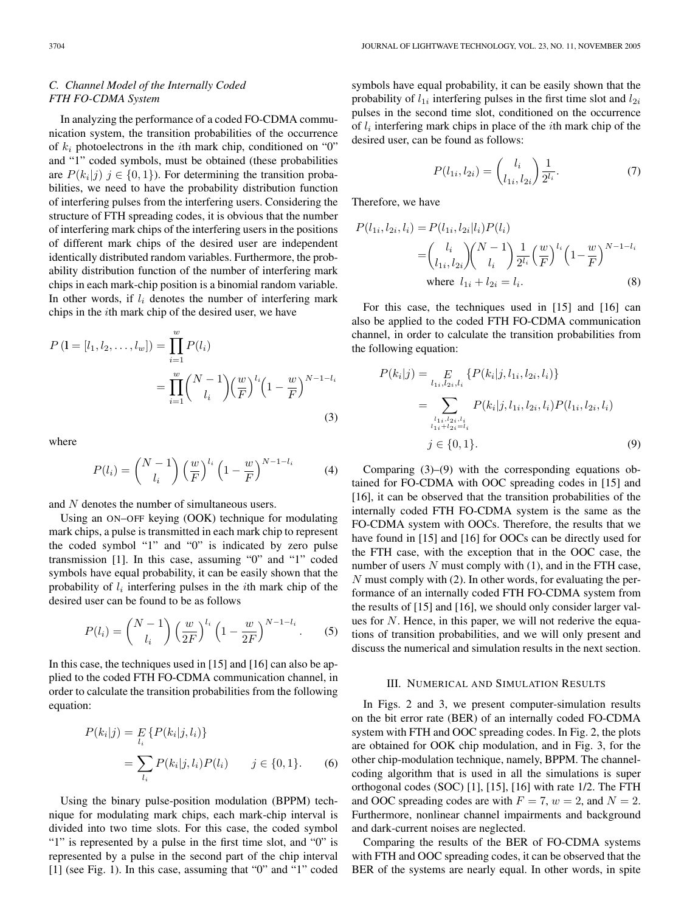# *C. Channel Model of the Internally Coded FTH FO-CDMA System*

In analyzing the performance of a coded FO-CDMA communication system, the transition probabilities of the occurrence of  $k_i$  photoelectrons in the *i*th mark chip, conditioned on "0" and "1" coded symbols, must be obtained (these probabilities are  $P(k_i|j)$   $j \in \{0,1\}$ . For determining the transition probabilities, we need to have the probability distribution function of interfering pulses from the interfering users. Considering the structure of FTH spreading codes, it is obvious that the number of interfering mark chips of the interfering users in the positions of different mark chips of the desired user are independent identically distributed random variables. Furthermore, the probability distribution function of the number of interfering mark chips in each mark-chip position is a binomial random variable. In other words, if  $l_i$  denotes the number of interfering mark chips in the ith mark chip of the desired user, we have

$$
P\left(\mathbf{l} = [l_1, l_2, \dots, l_w]\right) = \prod_{i=1}^w P(l_i)
$$
  
= 
$$
\prod_{i=1}^w {N-1 \choose l_i} \left(\frac{w}{F}\right)^{l_i} \left(1 - \frac{w}{F}\right)^{N-1-l_i}
$$
  
(3)

where

$$
P(l_i) = \binom{N-1}{l_i} \left(\frac{w}{F}\right)^{l_i} \left(1 - \frac{w}{F}\right)^{N-1-l_i} \tag{4}
$$

and N denotes the number of simultaneous users.

Using an ON–OFF keying (OOK) technique for modulating mark chips, a pulse is transmitted in each mark chip to represent the coded symbol "1" and "0" is indicated by zero pulse transmission [1]. In this case, assuming "0" and "1" coded symbols have equal probability, it can be easily shown that the probability of  $l_i$  interfering pulses in the *i*th mark chip of the desired user can be found to be as follows

$$
P(l_i) = \binom{N-1}{l_i} \left(\frac{w}{2F}\right)^{l_i} \left(1 - \frac{w}{2F}\right)^{N-1-l_i}.\tag{5}
$$

In this case, the techniques used in [15] and [16] can also be applied to the coded FTH FO-CDMA communication channel, in order to calculate the transition probabilities from the following equation:

$$
P(k_i|j) = E_{l_i} \{ P(k_i|j, l_i) \}
$$
  
= 
$$
\sum_{l_i} P(k_i|j, l_i) P(l_i) \qquad j \in \{0, 1\}. \tag{6}
$$

Using the binary pulse-position modulation (BPPM) technique for modulating mark chips, each mark-chip interval is divided into two time slots. For this case, the coded symbol "1" is represented by a pulse in the first time slot, and "0" is represented by a pulse in the second part of the chip interval [1] (see Fig. 1). In this case, assuming that "0" and "1" coded symbols have equal probability, it can be easily shown that the probability of  $l_{1i}$  interfering pulses in the first time slot and  $l_{2i}$ pulses in the second time slot, conditioned on the occurrence of  $l_i$  interfering mark chips in place of the *i*th mark chip of the desired user, can be found as follows:

$$
P(l_{1i}, l_{2i}) = \binom{l_i}{l_{1i}, l_{2i}} \frac{1}{2^{l_i}}.
$$
 (7)

Therefore, we have

$$
P(l_{1i}, l_{2i}, l_i) = P(l_{1i}, l_{2i} | l_i) P(l_i)
$$
  
= 
$$
\binom{l_i}{l_{1i}, l_{2i}} \binom{N-1}{l_i} \frac{1}{2^{l_i}} \left(\frac{w}{F}\right)^{l_i} \left(1 - \frac{w}{F}\right)^{N-1-l_i}
$$
  
where  $l_{1i} + l_{2i} = l_i$ . (8)

For this case, the techniques used in [15] and [16] can also be applied to the coded FTH FO-CDMA communication channel, in order to calculate the transition probabilities from the following equation:

$$
P(k_i|j) = \sum_{l_1, l_2, l_i} \{ P(k_i|j, l_{1i}, l_{2i}, l_i) \}
$$
  
= 
$$
\sum_{l_1, l_2, l_i} P(k_i|j, l_{1i}, l_{2i}, l_i) P(l_{1i}, l_{2i}, l_i)
$$
  

$$
j \in \{0, 1\}.
$$
 (9)

Comparing (3)–(9) with the corresponding equations obtained for FO-CDMA with OOC spreading codes in [15] and [16], it can be observed that the transition probabilities of the internally coded FTH FO-CDMA system is the same as the FO-CDMA system with OOCs. Therefore, the results that we have found in [15] and [16] for OOCs can be directly used for the FTH case, with the exception that in the OOC case, the number of users  $N$  must comply with  $(1)$ , and in the FTH case,  $N$  must comply with (2). In other words, for evaluating the performance of an internally coded FTH FO-CDMA system from the results of [15] and [16], we should only consider larger values for  $N$ . Hence, in this paper, we will not rederive the equations of transition probabilities, and we will only present and discuss the numerical and simulation results in the next section.

# III. NUMERICAL AND SIMULATION RESULTS

In Figs. 2 and 3, we present computer-simulation results on the bit error rate (BER) of an internally coded FO-CDMA system with FTH and OOC spreading codes. In Fig. 2, the plots are obtained for OOK chip modulation, and in Fig. 3, for the other chip-modulation technique, namely, BPPM. The channelcoding algorithm that is used in all the simulations is super orthogonal codes (SOC) [1], [15], [16] with rate 1/2. The FTH and OOC spreading codes are with  $F = 7$ ,  $w = 2$ , and  $N = 2$ . Furthermore, nonlinear channel impairments and background and dark-current noises are neglected.

Comparing the results of the BER of FO-CDMA systems with FTH and OOC spreading codes, it can be observed that the BER of the systems are nearly equal. In other words, in spite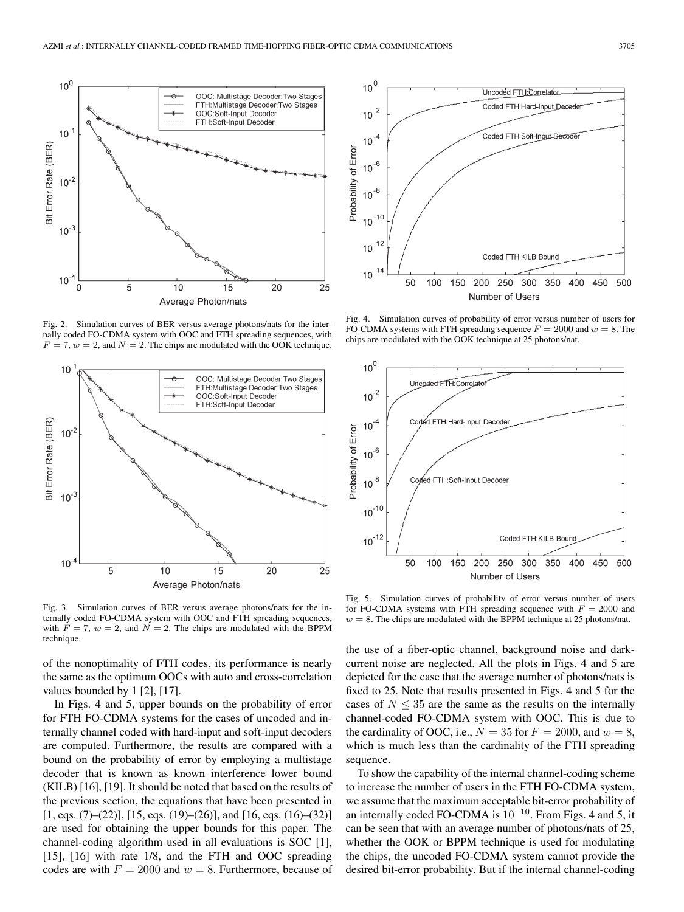

Fig. 2. Simulation curves of BER versus average photons/nats for the internally coded FO-CDMA system with OOC and FTH spreading sequences, with  $F = 7, w = 2$ , and  $N = 2$ . The chips are modulated with the OOK technique.



Fig. 3. Simulation curves of BER versus average photons/nats for the internally coded FO-CDMA system with OOC and FTH spreading sequences, with  $F = 7$ ,  $w = 2$ , and  $N = 2$ . The chips are modulated with the BPPM technique.

of the nonoptimality of FTH codes, its performance is nearly the same as the optimum OOCs with auto and cross-correlation values bounded by 1 [2], [17].

In Figs. 4 and 5, upper bounds on the probability of error for FTH FO-CDMA systems for the cases of uncoded and internally channel coded with hard-input and soft-input decoders are computed. Furthermore, the results are compared with a bound on the probability of error by employing a multistage decoder that is known as known interference lower bound (KILB) [16], [19]. It should be noted that based on the results of the previous section, the equations that have been presented in  $[1, \text{eqs. (7)}-(22)]$ ,  $[15, \text{eqs. (19)}-(26)]$ , and  $[16, \text{eqs. (16)}-(32)]$ are used for obtaining the upper bounds for this paper. The channel-coding algorithm used in all evaluations is SOC [1], [15], [16] with rate 1/8, and the FTH and OOC spreading codes are with  $F = 2000$  and  $w = 8$ . Furthermore, because of



Fig. 4. Simulation curves of probability of error versus number of users for FO-CDMA systems with FTH spreading sequence  $F = 2000$  and  $w = 8$ . The chips are modulated with the OOK technique at 25 photons/nat.



Fig. 5. Simulation curves of probability of error versus number of users for FO-CDMA systems with FTH spreading sequence with  $F = 2000$  and  $w = 8$ . The chips are modulated with the BPPM technique at 25 photons/nat.

the use of a fiber-optic channel, background noise and darkcurrent noise are neglected. All the plots in Figs. 4 and 5 are depicted for the case that the average number of photons/nats is fixed to 25. Note that results presented in Figs. 4 and 5 for the cases of  $N \leq 35$  are the same as the results on the internally channel-coded FO-CDMA system with OOC. This is due to the cardinality of OOC, i.e.,  $N = 35$  for  $F = 2000$ , and  $w = 8$ , which is much less than the cardinality of the FTH spreading sequence.

To show the capability of the internal channel-coding scheme to increase the number of users in the FTH FO-CDMA system, we assume that the maximum acceptable bit-error probability of an internally coded FO-CDMA is 10<sup>−</sup><sup>10</sup>. From Figs. 4 and 5, it can be seen that with an average number of photons/nats of 25, whether the OOK or BPPM technique is used for modulating the chips, the uncoded FO-CDMA system cannot provide the desired bit-error probability. But if the internal channel-coding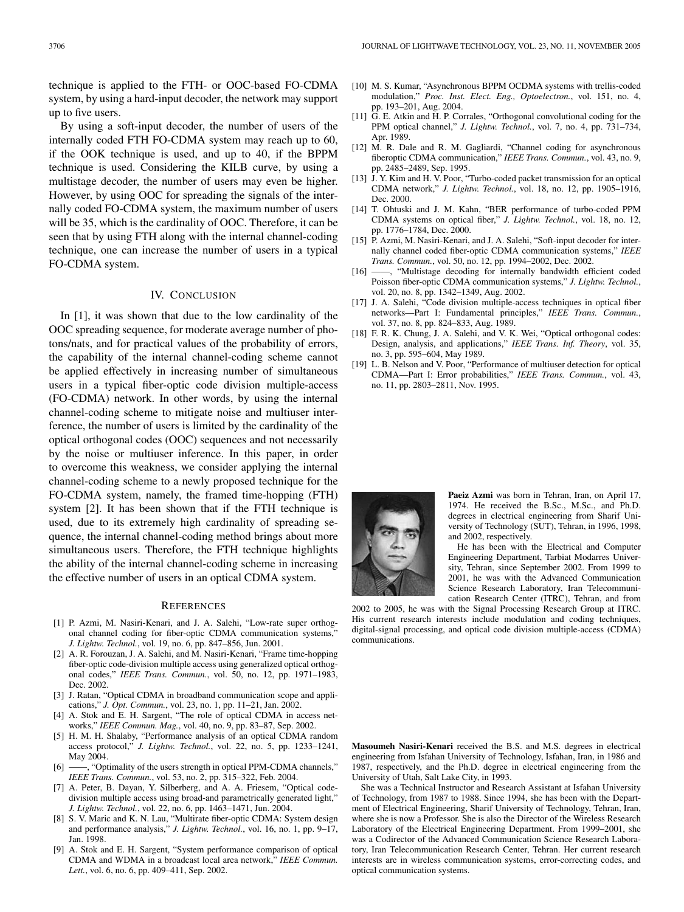technique is applied to the FTH- or OOC-based FO-CDMA system, by using a hard-input decoder, the network may support up to five users.

By using a soft-input decoder, the number of users of the internally coded FTH FO-CDMA system may reach up to 60, if the OOK technique is used, and up to 40, if the BPPM technique is used. Considering the KILB curve, by using a multistage decoder, the number of users may even be higher. However, by using OOC for spreading the signals of the internally coded FO-CDMA system, the maximum number of users will be 35, which is the cardinality of OOC. Therefore, it can be seen that by using FTH along with the internal channel-coding technique, one can increase the number of users in a typical FO-CDMA system.

# IV. CONCLUSION

In [1], it was shown that due to the low cardinality of the OOC spreading sequence, for moderate average number of photons/nats, and for practical values of the probability of errors, the capability of the internal channel-coding scheme cannot be applied effectively in increasing number of simultaneous users in a typical fiber-optic code division multiple-access (FO-CDMA) network. In other words, by using the internal channel-coding scheme to mitigate noise and multiuser interference, the number of users is limited by the cardinality of the optical orthogonal codes (OOC) sequences and not necessarily by the noise or multiuser inference. In this paper, in order to overcome this weakness, we consider applying the internal channel-coding scheme to a newly proposed technique for the FO-CDMA system, namely, the framed time-hopping (FTH) system [2]. It has been shown that if the FTH technique is used, due to its extremely high cardinality of spreading sequence, the internal channel-coding method brings about more simultaneous users. Therefore, the FTH technique highlights the ability of the internal channel-coding scheme in increasing the effective number of users in an optical CDMA system.

#### **REFERENCES**

- [1] P. Azmi, M. Nasiri-Kenari, and J. A. Salehi, "Low-rate super orthogonal channel coding for fiber-optic CDMA communication systems, *J. Lightw. Technol.*, vol. 19, no. 6, pp. 847–856, Jun. 2001.
- [2] A. R. Forouzan, J. A. Salehi, and M. Nasiri-Kenari, "Frame time-hopping fiber-optic code-division multiple access using generalized optical orthogonal codes," *IEEE Trans. Commun.*, vol. 50, no. 12, pp. 1971–1983, Dec. 2002.
- [3] J. Ratan, "Optical CDMA in broadband communication scope and applications," *J. Opt. Commun.*, vol. 23, no. 1, pp. 11–21, Jan. 2002.
- [4] A. Stok and E. H. Sargent, "The role of optical CDMA in access networks," *IEEE Commun. Mag.*, vol. 40, no. 9, pp. 83–87, Sep. 2002.
- [5] H. M. H. Shalaby, "Performance analysis of an optical CDMA random access protocol," *J. Lightw. Technol.*, vol. 22, no. 5, pp. 1233–1241, May 2004.
- [6] ——, "Optimality of the users strength in optical PPM-CDMA channels," *IEEE Trans. Commun.*, vol. 53, no. 2, pp. 315–322, Feb. 2004.
- [7] A. Peter, B. Dayan, Y. Silberberg, and A. A. Friesem, "Optical codedivision multiple access using broad-and parametrically generated light," *J. Lightw. Technol.*, vol. 22, no. 6, pp. 1463–1471, Jun. 2004.
- [8] S. V. Maric and K. N. Lau, "Multirate fiber-optic CDMA: System design and performance analysis," *J. Lightw. Technol.*, vol. 16, no. 1, pp. 9–17, Jan. 1998.
- [9] A. Stok and E. H. Sargent, "System performance comparison of optical CDMA and WDMA in a broadcast local area network," *IEEE Commun. Lett.*, vol. 6, no. 6, pp. 409–411, Sep. 2002.
- [10] M. S. Kumar, "Asynchronous BPPM OCDMA systems with trellis-coded modulation," *Proc. Inst. Elect. Eng., Optoelectron.*, vol. 151, no. 4, pp. 193–201, Aug. 2004.
- [11] G. E. Atkin and H. P. Corrales, "Orthogonal convolutional coding for the PPM optical channel," *J. Lightw. Technol.*, vol. 7, no. 4, pp. 731–734, Apr. 1989.
- [12] M. R. Dale and R. M. Gagliardi, "Channel coding for asynchronous fiberoptic CDMA communication," *IEEE Trans. Commun.*, vol. 43, no. 9, pp. 2485–2489, Sep. 1995.
- [13] J. Y. Kim and H. V. Poor, "Turbo-coded packet transmission for an optical CDMA network," *J. Lightw. Technol.*, vol. 18, no. 12, pp. 1905–1916, Dec. 2000.
- [14] T. Ohtuski and J. M. Kahn, "BER performance of turbo-coded PPM CDMA systems on optical fiber," *J. Lightw. Technol.*, vol. 18, no. 12, pp. 1776–1784, Dec. 2000.
- [15] P. Azmi, M. Nasiri-Kenari, and J. A. Salehi, "Soft-input decoder for internally channel coded fiber-optic CDMA communication systems," *IEEE Trans. Commun.*, vol. 50, no. 12, pp. 1994–2002, Dec. 2002.
- [16] -, "Multistage decoding for internally bandwidth efficient coded Poisson fiber-optic CDMA communication systems," *J. Lightw. Technol.*, vol. 20, no. 8, pp. 1342–1349, Aug. 2002.
- [17] J. A. Salehi, "Code division multiple-access techniques in optical fiber networks—Part I: Fundamental principles," *IEEE Trans. Commun.*, vol. 37, no. 8, pp. 824–833, Aug. 1989.
- [18] F. R. K. Chung, J. A. Salehi, and V. K. Wei, "Optical orthogonal codes: Design, analysis, and applications," *IEEE Trans. Inf. Theory*, vol. 35, no. 3, pp. 595–604, May 1989.
- [19] L. B. Nelson and V. Poor, "Performance of multiuser detection for optical CDMA—Part I: Error probabilities," *IEEE Trans. Commun.*, vol. 43, no. 11, pp. 2803–2811, Nov. 1995.



**Paeiz Azmi** was born in Tehran, Iran, on April 17, 1974. He received the B.Sc., M.Sc., and Ph.D. degrees in electrical engineering from Sharif University of Technology (SUT), Tehran, in 1996, 1998, and 2002, respectively.

He has been with the Electrical and Computer Engineering Department, Tarbiat Modarres University, Tehran, since September 2002. From 1999 to 2001, he was with the Advanced Communication Science Research Laboratory, Iran Telecommunication Research Center (ITRC), Tehran, and from

2002 to 2005, he was with the Signal Processing Research Group at ITRC. His current research interests include modulation and coding techniques, digital-signal processing, and optical code division multiple-access (CDMA) communications.

**Masoumeh Nasiri-Kenari** received the B.S. and M.S. degrees in electrical engineering from Isfahan University of Technology, Isfahan, Iran, in 1986 and 1987, respectively, and the Ph.D. degree in electrical engineering from the University of Utah, Salt Lake City, in 1993.

She was a Technical Instructor and Research Assistant at Isfahan University of Technology, from 1987 to 1988. Since 1994, she has been with the Department of Electrical Engineering, Sharif University of Technology, Tehran, Iran, where she is now a Professor. She is also the Director of the Wireless Research Laboratory of the Electrical Engineering Department. From 1999–2001, she was a Codirector of the Advanced Communication Science Research Laboratory, Iran Telecommunication Research Center, Tehran. Her current research interests are in wireless communication systems, error-correcting codes, and optical communication systems.